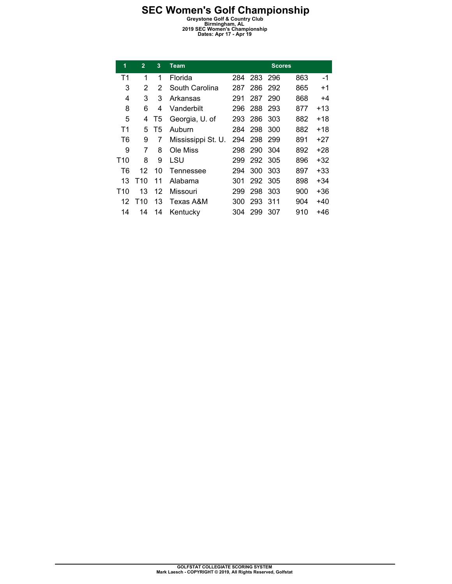| 1               | $\overline{2}$  | 3  | <b>Team</b>        |     |     | <b>Scores</b> |     |       |
|-----------------|-----------------|----|--------------------|-----|-----|---------------|-----|-------|
| T <sub>1</sub>  | 1               | 1  | Florida            | 284 | 283 | 296           | 863 | -1    |
| 3               | 2               | 2  | South Carolina     | 287 | 286 | -292          | 865 | $+1$  |
| 4               | 3               | 3  | Arkansas           | 291 | 287 | 290           | 868 | +4    |
| 8               | 6               | 4  | Vanderbilt         | 296 | 288 | 293           | 877 | +13   |
| 5               | 4               | T5 | Georgia, U. of     | 293 | 286 | 303           | 882 | +18   |
| T1              | 5               | T5 | Auburn             | 284 | 298 | 300           | 882 | +18   |
| T6              | 9               | 7  | Mississippi St. U. | 294 | 298 | 299           | 891 | +27   |
| 9               | 7               | 8  | Ole Miss           | 298 | 290 | 304           | 892 | +28   |
| T <sub>10</sub> | 8               | 9  | LSU                | 299 | 292 | 305           | 896 | +32   |
| T6              | 12              | 10 | Tennessee          | 294 | 300 | 303           | 897 | +33   |
| 13              | T10             | 11 | Alabama            | 301 | 292 | 305           | 898 | $+34$ |
| T <sub>10</sub> | 13              | 12 | Missouri           | 299 | 298 | 303           | 900 | +36   |
| 12              | T <sub>10</sub> | 13 | Texas A&M          | 300 | 293 | 311           | 904 | +40   |
| 14              | 14              | 14 | Kentucky           | 304 | 299 | 307           | 910 | +46   |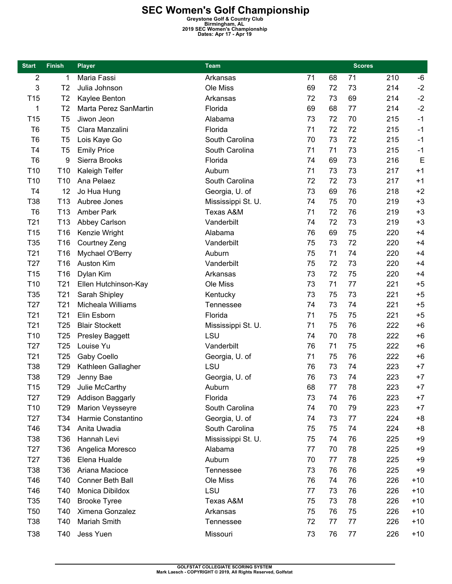| <b>Start</b>    | <b>Finish</b>   | <b>Player</b>           | <b>Team</b>        |    |    | <b>Scores</b> |     |       |
|-----------------|-----------------|-------------------------|--------------------|----|----|---------------|-----|-------|
| 2               | 1               | Maria Fassi             | Arkansas           | 71 | 68 | 71            | 210 | -6    |
| 3               | T <sub>2</sub>  | Julia Johnson           | Ole Miss           | 69 | 72 | 73            | 214 | $-2$  |
| T15             | T <sub>2</sub>  | Kaylee Benton           | Arkansas           | 72 | 73 | 69            | 214 | $-2$  |
| 1               | T <sub>2</sub>  | Marta Perez SanMartin   | Florida            | 69 | 68 | 77            | 214 | $-2$  |
| T15             | T <sub>5</sub>  | Jiwon Jeon              | Alabama            | 73 | 72 | 70            | 215 | $-1$  |
| T <sub>6</sub>  | T <sub>5</sub>  | Clara Manzalini         | Florida            | 71 | 72 | 72            | 215 | $-1$  |
| T <sub>6</sub>  | T <sub>5</sub>  | Lois Kaye Go            | South Carolina     | 70 | 73 | 72            | 215 | $-1$  |
| T <sub>4</sub>  | T <sub>5</sub>  | <b>Emily Price</b>      | South Carolina     | 71 | 71 | 73            | 215 | $-1$  |
| T <sub>6</sub>  | 9               | Sierra Brooks           | Florida            | 74 | 69 | 73            | 216 | E     |
| T <sub>10</sub> | T <sub>10</sub> | Kaleigh Telfer          | Auburn             | 71 | 73 | 73            | 217 | $+1$  |
| T10             | T <sub>10</sub> | Ana Pelaez              | South Carolina     | 72 | 72 | 73            | 217 | $+1$  |
| T <sub>4</sub>  | 12              | Jo Hua Hung             | Georgia, U. of     | 73 | 69 | 76            | 218 | $+2$  |
| T38             | T <sub>13</sub> | Aubree Jones            | Mississippi St. U. | 74 | 75 | 70            | 219 | $+3$  |
| T <sub>6</sub>  | T <sub>13</sub> | Amber Park              | Texas A&M          | 71 | 72 | 76            | 219 | $+3$  |
| T <sub>21</sub> | T <sub>13</sub> | Abbey Carlson           | Vanderbilt         | 74 | 72 | 73            | 219 | $+3$  |
| T <sub>15</sub> | T16             | Kenzie Wright           | Alabama            | 76 | 69 | 75            | 220 | $+4$  |
| T35             | T16             | <b>Courtney Zeng</b>    | Vanderbilt         | 75 | 73 | 72            | 220 | $+4$  |
| T <sub>21</sub> | T16             | Mychael O'Berry         | Auburn             | 75 | 71 | 74            | 220 | $+4$  |
| T <sub>27</sub> | T16             | <b>Auston Kim</b>       | Vanderbilt         | 75 | 72 | 73            | 220 | $+4$  |
| T <sub>15</sub> | T16             | Dylan Kim               | Arkansas           | 73 | 72 | 75            | 220 | $+4$  |
| T <sub>10</sub> | T <sub>21</sub> | Ellen Hutchinson-Kay    | Ole Miss           | 73 | 71 | 77            | 221 | $+5$  |
| T35             | T <sub>21</sub> | Sarah Shipley           | Kentucky           | 73 | 75 | 73            | 221 | $+5$  |
| T <sub>27</sub> | T <sub>21</sub> | Micheala Williams       | Tennessee          | 74 | 73 | 74            | 221 | $+5$  |
| T <sub>21</sub> | T <sub>21</sub> | Elin Esborn             | Florida            | 71 | 75 | 75            | 221 | $+5$  |
| T <sub>21</sub> | T <sub>25</sub> | <b>Blair Stockett</b>   | Mississippi St. U. | 71 | 75 | 76            | 222 | $+6$  |
| T10             | T <sub>25</sub> | <b>Presley Baggett</b>  | LSU                | 74 | 70 | 78            | 222 | $+6$  |
| T <sub>27</sub> | T <sub>25</sub> | Louise Yu               | Vanderbilt         | 76 | 71 | 75            | 222 | $+6$  |
| T <sub>21</sub> | T <sub>25</sub> | Gaby Coello             | Georgia, U. of     | 71 | 75 | 76            | 222 | $+6$  |
| T38             | T <sub>29</sub> | Kathleen Gallagher      | LSU                | 76 | 73 | 74            | 223 | $+7$  |
| T38             | T <sub>29</sub> | Jenny Bae               | Georgia, U. of     | 76 | 73 | 74            | 223 | $+7$  |
| T15             | T <sub>29</sub> | Julie McCarthy          | Auburn             | 68 | 77 | 78            | 223 | $+7$  |
| T <sub>27</sub> | T29             | <b>Addison Baggarly</b> | Florida            | 73 | 74 | 76            | 223 | $+7$  |
| T <sub>10</sub> | T <sub>29</sub> | Marion Veysseyre        | South Carolina     | 74 | 70 | 79            | 223 | $+7$  |
| T <sub>27</sub> | T34             | Harmie Constantino      | Georgia, U. of     | 74 | 73 | 77            | 224 | $+8$  |
| T46             | T34             | Anita Uwadia            | South Carolina     | 75 | 75 | 74            | 224 | $+8$  |
| T38             | T36             | Hannah Levi             | Mississippi St. U. | 75 | 74 | 76            | 225 | $+9$  |
| T <sub>27</sub> | T36             | Angelica Moresco        | Alabama            | 77 | 70 | 78            | 225 | $+9$  |
| T <sub>27</sub> | T36             | Elena Hualde            | Auburn             | 70 | 77 | 78            | 225 | $+9$  |
| T38             | T <sub>36</sub> | Ariana Macioce          | Tennessee          | 73 | 76 | 76            | 225 | $+9$  |
|                 |                 |                         |                    |    |    |               |     |       |
| T46             | T40             | Conner Beth Ball        | Ole Miss           | 76 | 74 | 76            | 226 | $+10$ |
| T46             | T40             | Monica Dibildox         | LSU                | 77 | 73 | 76            | 226 | $+10$ |
| T <sub>35</sub> | T40             | <b>Brooke Tyree</b>     | Texas A&M          | 75 | 73 | 78            | 226 | $+10$ |
| T <sub>50</sub> | T40             | Ximena Gonzalez         | Arkansas           | 75 | 76 | 75            | 226 | $+10$ |
| T38             | T40             | Mariah Smith            | Tennessee          | 72 | 77 | 77            | 226 | $+10$ |
| T38             | T40             | Jess Yuen               | Missouri           | 73 | 76 | 77            | 226 | $+10$ |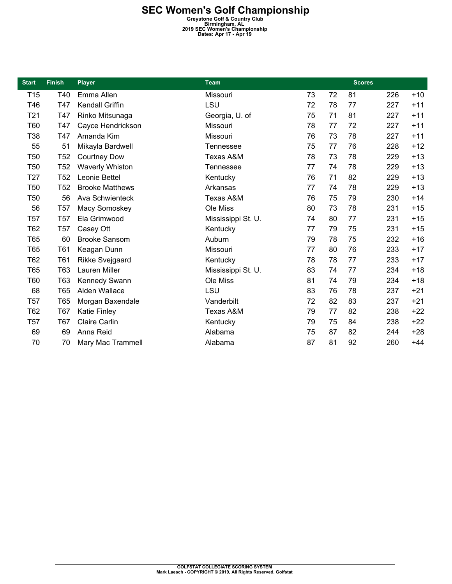| <b>Start</b>    | <b>Finish</b>   | <b>Player</b>          | <b>Team</b>          |    |    | <b>Scores</b> |     |       |
|-----------------|-----------------|------------------------|----------------------|----|----|---------------|-----|-------|
| T <sub>15</sub> | T40             | Emma Allen             | Missouri             | 73 | 72 | 81            | 226 | $+10$ |
| T46             | T47             | Kendall Griffin        | LSU                  | 72 | 78 | 77            | 227 | $+11$ |
| T <sub>21</sub> | T47             | Rinko Mitsunaga        | Georgia, U. of       | 75 | 71 | 81            | 227 | $+11$ |
| T60             | T47             | Cayce Hendrickson      | Missouri             | 78 | 77 | 72            | 227 | $+11$ |
| T38             | T47             | Amanda Kim             | Missouri             | 76 | 73 | 78            | 227 | $+11$ |
| 55              | 51              | Mikayla Bardwell       | <b>Tennessee</b>     | 75 | 77 | 76            | 228 | $+12$ |
| T <sub>50</sub> | T <sub>52</sub> | <b>Courtney Dow</b>    | <b>Texas A&amp;M</b> | 78 | 73 | 78            | 229 | $+13$ |
| <b>T50</b>      | T <sub>52</sub> | <b>Waverly Whiston</b> | <b>Tennessee</b>     | 77 | 74 | 78            | 229 | $+13$ |
| T <sub>27</sub> | T <sub>52</sub> | Leonie Bettel          | Kentucky             | 76 | 71 | 82            | 229 | $+13$ |
| T <sub>50</sub> | T <sub>52</sub> | <b>Brooke Matthews</b> | Arkansas             | 77 | 74 | 78            | 229 | $+13$ |
| T <sub>50</sub> | 56              | Ava Schwienteck        | Texas A&M            | 76 | 75 | 79            | 230 | $+14$ |
| 56              | T <sub>57</sub> | Macy Somoskey          | Ole Miss             | 80 | 73 | 78            | 231 | $+15$ |
| T <sub>57</sub> | T <sub>57</sub> | Ela Grimwood           | Mississippi St. U.   | 74 | 80 | 77            | 231 | $+15$ |
| T62             | T57             | Casey Ott              | Kentucky             | 77 | 79 | 75            | 231 | $+15$ |
| T65             | 60              | <b>Brooke Sansom</b>   | Auburn               | 79 | 78 | 75            | 232 | $+16$ |
| T65             | T61             | Keagan Dunn            | Missouri             | 77 | 80 | 76            | 233 | $+17$ |
| T62             | T61             | <b>Rikke Svejgaard</b> | Kentucky             | 78 | 78 | 77            | 233 | $+17$ |
| T65             | T63             | Lauren Miller          | Mississippi St. U.   | 83 | 74 | 77            | 234 | $+18$ |
| T60             | T63             | Kennedy Swann          | Ole Miss             | 81 | 74 | 79            | 234 | $+18$ |
| 68              | T65             | Alden Wallace          | LSU                  | 83 | 76 | 78            | 237 | $+21$ |
| T <sub>57</sub> | T65             | Morgan Baxendale       | Vanderbilt           | 72 | 82 | 83            | 237 | $+21$ |
| T62             | T67             | Katie Finley           | Texas A&M            | 79 | 77 | 82            | 238 | $+22$ |
| T <sub>57</sub> | T67             | <b>Claire Carlin</b>   | Kentucky             | 79 | 75 | 84            | 238 | $+22$ |
| 69              | 69              | Anna Reid              | Alabama              | 75 | 87 | 82            | 244 | $+28$ |
| 70              | 70              | Mary Mac Trammell      | Alabama              | 87 | 81 | 92            | 260 | $+44$ |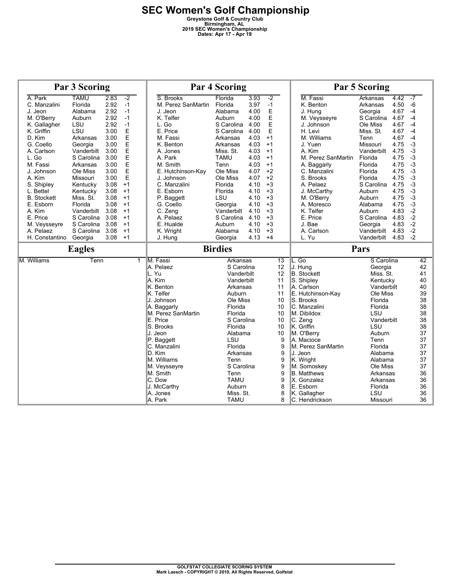| Par 3 Scoring<br><b>Par 4 Scoring</b>                                                    |        |                                |                    |                 |
|------------------------------------------------------------------------------------------|--------|--------------------------------|--------------------|-----------------|
| <b>TAMU</b><br>2.83<br>S. Brooks<br>A. Park<br>$-2$<br>Florida<br>3.93<br>$-2$           |        | M. Fassi                       | 4.42<br>Arkansas   | $-7$            |
| $-1$<br>M. Perez SanMartin<br>C. Manzalini<br>Florida<br>2.92<br>Florida<br>3.97<br>$-1$ |        | K. Benton                      | 4.50<br>Arkansas   | $-6$            |
| E<br>2.92<br>$-1$<br>4.00<br>J. Jeon<br>Alabama<br>J. Jeon<br>Alabama                    |        | J. Hung                        | 4.67<br>Georgia    | $-4$            |
| E<br>$-1$<br>M. O'Berry<br>2.92<br>K. Telfer<br>Auburn<br>4.00<br>Auburn                 |        | M. Veysseyre                   | S Carolina<br>4.67 | $-4$            |
| E<br>2.92<br>$-1$<br>L. Go<br>K. Gallagher<br>LSU<br>S Carolina<br>4.00                  |        | J. Johnson                     | Ole Miss<br>4.67   | $-4$            |
| E<br>E<br>LSU<br>E. Price<br>K. Griffin<br>3.00<br>S Carolina<br>4.00                    |        | H. Levi                        | Miss. St.<br>4.67  | $-4$            |
| E<br>D. Kim<br>Arkansas<br>3.00<br>M. Fassi<br>4.03<br>$+1$<br>Arkansas                  |        | M. Williams                    | 4.67<br>Tenn       | $-4$            |
| E<br>G. Coello<br>3.00<br>4.03<br>$+1$<br>Georgia<br>K. Benton<br>Arkansas               |        | J. Yuen                        | 4.75<br>Missouri   | $-3$            |
| A. Carlson<br>Vanderbilt<br>3.00<br>Miss. St.<br>4.03<br>$+1$<br>A. Jones                |        | A. Kim                         | Vanderbilt<br>4.75 | $-3$            |
| E<br>E<br>L. Go<br>3.00<br>A. Park<br><b>TAMU</b><br>4.03<br>$+1$<br>S Carolina          |        | M. Perez SanMartin             | 4.75<br>Florida    | $-3$            |
| E<br>3.00<br>$+1$<br>M. Fassi<br>Arkansas<br>M. Smith<br>Tenn<br>4.03                    |        | A. Baggarly                    | 4.75<br>Florida    | $-3$            |
| E<br>3.00<br>$+2$<br>J. Johnson<br>Ole Miss<br>E. Hutchinson-Kay<br>Ole Miss<br>4.07     |        | C. Manzalini                   | Florida<br>4.75    | $-3$            |
| E<br>$+2$<br>A. Kim<br>3.00<br>J. Johnson<br>Ole Miss<br>4.07<br>Missouri                |        | S. Brooks                      | Florida<br>4.75    | $-3$            |
| $+1$<br>$+3$<br>S. Shipley<br>Kentucky<br>3.08<br>C. Manzalini<br>Florida<br>4.10        |        | A. Pelaez                      | S Carolina<br>4.75 | $-3$            |
| $+1$<br>$+3$<br>3.08<br>E. Esborn<br>Florida<br>4.10<br>L. Bettel<br>Kentucky            |        | J. McCarthy                    | 4.75<br>Auburn     | $-3$            |
| $+3$<br><b>B.</b> Stockett<br>Miss. St.<br>3.08<br>$+1$<br>LSU<br>4.10<br>P. Baggett     |        | M. O'Berry                     | 4.75<br>Auburn     | $-3$            |
| $+1$<br>$+3$<br>E. Esborn<br>Florida<br>3.08<br>G. Coello<br>4.10<br>Georgia             |        | A. Moresco                     | 4.75<br>Alabama    | $-3$            |
| $+3$<br>A. Kim<br>3.08<br>$+1$<br>C. Zeng<br>Vanderbilt<br>Vanderbilt<br>4.10            |        | K. Telfer                      | 4.83<br>Auburn     | $-2$            |
| E. Price<br>3.08<br>$+1$<br>A. Pelaez<br>$+3$<br>S Carolina<br>S Carolina<br>4.10        |        | E. Price                       | 4.83<br>S Carolina | $-2$            |
| 3.08<br>$+1$<br>$+3$<br>M. Veysseyre<br>S Carolina<br>E. Hualde<br>Auburn<br>4.10        |        | J. Bae                         | 4.83<br>Georgia    | $-2$            |
| A. Pelaez<br>S Carolina<br>3.08<br>$+1$<br>$+3$<br>K. Wright<br>Alabama<br>4.10          |        | A. Carlson                     | 4.83<br>Vanderbilt | $-2$            |
| 3.08<br>H. Constantino<br>Georgia<br>$+1$<br>J. Hung<br>Georgia<br>4.13<br>$+4$          |        | L. Yu                          | 4.83<br>Vanderbilt | $-2$            |
| <b>Birdies</b><br><b>Eagles</b>                                                          |        |                                |                    |                 |
| M. Fassi<br>M. Williams<br>Tenn<br>Arkansas<br>1                                         | 13     | $\overline{\mathsf{L. Go}}$    | S Carolina         | $\overline{42}$ |
| A. Pelaez<br>S Carolina                                                                  | 12     | J. Hung                        | Georgia            | 42              |
| L. Yu<br>Vanderbilt                                                                      | 12     | <b>B.</b> Stockett             | Miss. St.          | 41              |
| A. Kim<br>Vanderbilt                                                                     | 11     | S. Shipley                     | Kentucky           | 40              |
| K. Benton<br>Arkansas                                                                    | 11     | A. Carlson                     | Vanderbilt         | 40              |
| K. Telfer<br>Auburn                                                                      | 11     | E. Hutchinson-Kay              | Ole Miss           | 39              |
| J. Johnson<br>Ole Miss                                                                   | 10     | S. Brooks                      | Florida            | 38              |
| Florida<br>A. Baggarly                                                                   | 10     | C. Manzalini                   | Florida            | 38              |
| M. Perez SanMartin<br>Florida                                                            | 10     | M. Dibildox                    | LSU                | 38              |
| E. Price<br>S Carolina                                                                   | 10     | C. Zeng                        | Vanderbilt         | 38              |
| S. Brooks<br>Florida                                                                     | 10     | K. Griffin                     | LSU                | 38              |
| J. Jeon<br>Alabama                                                                       | 10     | M. O'Berry                     | Auburn             | 37              |
| P. Baggett<br>LSU                                                                        | 9      | A. Macioce                     | Tenn               | 37              |
| Florida<br>C. Manzalini                                                                  | 9      | M. Perez SanMartin             | Florida            | 37              |
| D. Kim<br>Arkansas                                                                       | 9      | J. Jeon                        | Alabama            | 37              |
| M. Williams<br>Tenn                                                                      | 9      | K. Wright                      | Alabama            | 37              |
| S Carolina<br>M. Veysseyre                                                               | 9      | M. Somoskey                    | Ole Miss           | 37              |
| M. Smith<br>Tenn                                                                         | 9      | <b>B.</b> Matthews             | Arkansas           | 36              |
|                                                                                          | 9      | X. Gonzalez                    | Arkansas           | 36              |
| C. Dow<br><b>TAMU</b>                                                                    |        |                                |                    |                 |
| J. McCarthy<br>Auburn                                                                    | 8      | E. Esborn                      | Florida            | 36              |
| A. Jones<br>Miss. St.<br>A. Park                                                         | 8<br>8 | K. Gallagher<br>C. Hendrickson | LSU                | 36<br>36        |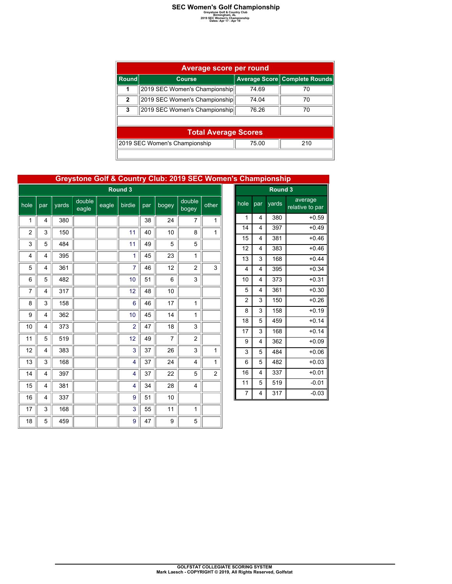## **SEC Women's Golf Championship**<br> *Greystone Golf &* Country Club<br>
<sup>2019 SEC Women's Championship<br>
Dates: Apr 17 - Apr 19</sup>

|              | <b>Average score per round</b>                |                                      |    |  |  |  |  |  |  |  |
|--------------|-----------------------------------------------|--------------------------------------|----|--|--|--|--|--|--|--|
| Round        | <b>Course</b>                                 | <b>Average Score Complete Rounds</b> |    |  |  |  |  |  |  |  |
| 1            | 2019 SEC Women's Championship                 | 74.69                                | 70 |  |  |  |  |  |  |  |
| $\mathbf{2}$ | 2019 SEC Women's Championship                 | 74 04                                | 70 |  |  |  |  |  |  |  |
| 3            | 2019 SEC Women's Championship                 | 76.26                                | 70 |  |  |  |  |  |  |  |
|              |                                               |                                      |    |  |  |  |  |  |  |  |
|              | <b>Total Average Scores</b>                   |                                      |    |  |  |  |  |  |  |  |
|              | 2019 SEC Women's Championship<br>210<br>75.00 |                                      |    |  |  |  |  |  |  |  |
|              |                                               |                                      |    |  |  |  |  |  |  |  |

| <b>Greystone Golf &amp; Country Club: 2019 SEC Women's Championship</b> |  |  |
|-------------------------------------------------------------------------|--|--|
|                                                                         |  |  |

|                | Round 3 |       |                 |       |                |     |                |                 |                |  |  |  |
|----------------|---------|-------|-----------------|-------|----------------|-----|----------------|-----------------|----------------|--|--|--|
| hole           | par     | yards | double<br>eagle | eagle | birdie         | par | bogey          | double<br>bogey | other          |  |  |  |
| 1              | 4       | 380   |                 |       |                | 38  | 24             | 7               | $\mathbf{1}$   |  |  |  |
| $\overline{2}$ | 3       | 150   |                 |       | 11             | 40  | 10             | 8               | 1              |  |  |  |
| 3              | 5       | 484   |                 |       | 11             | 49  | 5              | 5               |                |  |  |  |
| 4              | 4       | 395   |                 |       | 1              | 45  | 23             | 1               |                |  |  |  |
| 5              | 4       | 361   |                 |       | $\overline{7}$ | 46  | 12             | $\overline{c}$  | 3              |  |  |  |
| 6              | 5       | 482   |                 |       | 10             | 51  | 6              | 3               |                |  |  |  |
| 7              | 4       | 317   |                 |       | 12             | 48  | 10             |                 |                |  |  |  |
| 8              | 3       | 158   |                 |       | 6              | 46  | 17             | 1               |                |  |  |  |
| 9              | 4       | 362   |                 |       | 10             | 45  | 14             | 1               |                |  |  |  |
| 10             | 4       | 373   |                 |       | $\overline{2}$ | 47  | 18             | 3               |                |  |  |  |
| 11             | 5       | 519   |                 |       | 12             | 49  | $\overline{7}$ | $\overline{2}$  |                |  |  |  |
| 12             | 4       | 383   |                 |       | 3              | 37  | 26             | 3               | 1              |  |  |  |
| 13             | 3       | 168   |                 |       | 4              | 37  | 24             | 4               | 1              |  |  |  |
| 14             | 4       | 397   |                 |       | 4              | 37  | 22             | 5               | $\overline{c}$ |  |  |  |
| 15             | 4       | 381   |                 |       | 4              | 34  | 28             | 4               |                |  |  |  |
| 16             | 4       | 337   |                 |       | 9              | 51  | 10             |                 |                |  |  |  |
| 17             | 3       | 168   |                 |       | 3              | 55  | 11             | 1               |                |  |  |  |
| 18             | 5       | 459   |                 |       | 9              | 47  | 9              | 5               |                |  |  |  |

|                         | Round <sub>3</sub>      |       |                            |  |  |  |  |  |  |  |
|-------------------------|-------------------------|-------|----------------------------|--|--|--|--|--|--|--|
| hole                    | par                     | yards | average<br>relative to par |  |  |  |  |  |  |  |
| 1                       | 4                       | 380   | $+0.59$                    |  |  |  |  |  |  |  |
| 14                      | 4                       | 397   | $+0.49$                    |  |  |  |  |  |  |  |
| 15                      | $\overline{\mathbf{4}}$ | 381   | $+0.46$                    |  |  |  |  |  |  |  |
| 12                      | $\overline{\mathbf{4}}$ | 383   | $+0.46$                    |  |  |  |  |  |  |  |
| 13                      | 3                       | 168   | $+0.44$                    |  |  |  |  |  |  |  |
| $\overline{\mathbf{4}}$ | 4                       | 395   | $+0.34$                    |  |  |  |  |  |  |  |
| 10                      | 4                       | 373   | $+0.31$                    |  |  |  |  |  |  |  |
| 5                       | 4                       | 361   | $+0.30$                    |  |  |  |  |  |  |  |
| $\overline{2}$          | 3                       | 150   | $+0.26$                    |  |  |  |  |  |  |  |
| 8                       | 3                       | 158   | $+0.19$                    |  |  |  |  |  |  |  |
| 18                      | 5                       | 459   | $+0.14$                    |  |  |  |  |  |  |  |
| 17                      | 3                       | 168   | $+0.14$                    |  |  |  |  |  |  |  |
| 9                       | 4                       | 362   | $+0.09$                    |  |  |  |  |  |  |  |
| 3                       | 5                       | 484   | $+0.06$                    |  |  |  |  |  |  |  |
| 6                       | 5                       | 482   | $+0.03$                    |  |  |  |  |  |  |  |
| 16                      | 4                       | 337   | $+0.01$                    |  |  |  |  |  |  |  |
| 11                      | 5                       | 519   | $-0.01$                    |  |  |  |  |  |  |  |
| $\overline{7}$          | 4                       | 317   | $-0.03$                    |  |  |  |  |  |  |  |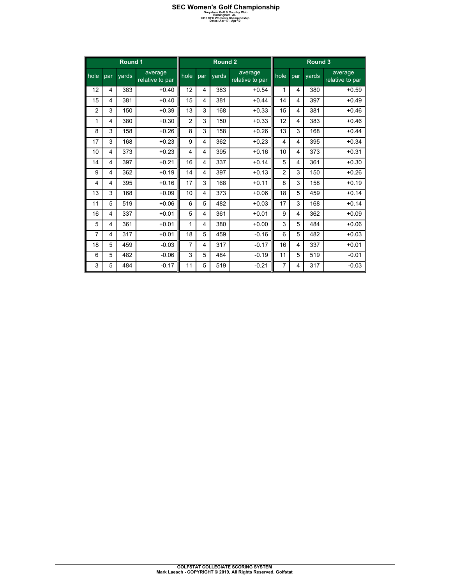## **SEC Women's Golf Championship**<br> *Greystone Golf &* Country Club<br>
<sup>2019 SEC Women's Championship<br>
Dates: Apr 17 - Apr 19</sup>

|                |     | Round 1 |                            |                |                | Round 2 |                            |                         |     | Round 3 |                            |
|----------------|-----|---------|----------------------------|----------------|----------------|---------|----------------------------|-------------------------|-----|---------|----------------------------|
| hole           | par | vards   | average<br>relative to par | hole           | par            | vards   | average<br>relative to par | hole                    | par | vards   | average<br>relative to par |
| 12             | 4   | 383     | $+0.40$                    | 12             | 4              | 383     | $+0.54$                    | 1                       | 4   | 380     | $+0.59$                    |
| 15             | 4   | 381     | $+0.40$                    | 15             | $\overline{4}$ | 381     | $+0.44$                    | 14                      | 4   | 397     | $+0.49$                    |
| $\overline{2}$ | 3   | 150     | $+0.39$                    | 13             | 3              | 168     | $+0.33$                    | 15                      | 4   | 381     | $+0.46$                    |
| 1              | 4   | 380     | $+0.30$                    | $\overline{2}$ | 3              | 150     | $+0.33$                    | 12                      | 4   | 383     | $+0.46$                    |
| 8              | 3   | 158     | $+0.26$                    | 8              | 3              | 158     | $+0.26$                    | 13                      | 3   | 168     | $+0.44$                    |
| 17             | 3   | 168     | $+0.23$                    | 9              | 4              | 362     | $+0.23$                    | $\overline{\mathbf{4}}$ | 4   | 395     | $+0.34$                    |
| 10             | 4   | 373     | $+0.23$                    | 4              | $\overline{4}$ | 395     | $+0.16$                    | 10                      | 4   | 373     | $+0.31$                    |
| 14             | 4   | 397     | $+0.21$                    | 16             | 4              | 337     | $+0.14$                    | 5                       | 4   | 361     | $+0.30$                    |
| 9              | 4   | 362     | $+0.19$                    | 14             | 4              | 397     | $+0.13$                    | $\overline{c}$          | 3   | 150     | $+0.26$                    |
| 4              | 4   | 395     | $+0.16$                    | 17             | 3              | 168     | $+0.11$                    | 8                       | 3   | 158     | $+0.19$                    |
| 13             | 3   | 168     | $+0.09$                    | 10             | 4              | 373     | $+0.06$                    | 18                      | 5   | 459     | $+0.14$                    |
| 11             | 5   | 519     | $+0.06$                    | 6              | 5              | 482     | $+0.03$                    | 17                      | 3   | 168     | $+0.14$                    |
| 16             | 4   | 337     | $+0.01$                    | 5              | 4              | 361     | $+0.01$                    | 9                       | 4   | 362     | $+0.09$                    |
| 5              | 4   | 361     | $+0.01$                    | 1              | 4              | 380     | $+0.00$                    | 3                       | 5   | 484     | $+0.06$                    |
| 7              | 4   | 317     | $+0.01$                    | 18             | 5              | 459     | $-0.16$                    | 6                       | 5   | 482     | $+0.03$                    |
| 18             | 5   | 459     | $-0.03$                    | $\overline{7}$ | 4              | 317     | $-0.17$                    | 16                      | 4   | 337     | $+0.01$                    |
| 6              | 5   | 482     | $-0.06$                    | 3              | 5              | 484     | $-0.19$                    | 11                      | 5   | 519     | $-0.01$                    |
| 3              | 5   | 484     | $-0.17$                    | 11             | 5              | 519     | $-0.21$                    | 7                       | 4   | 317     | $-0.03$                    |